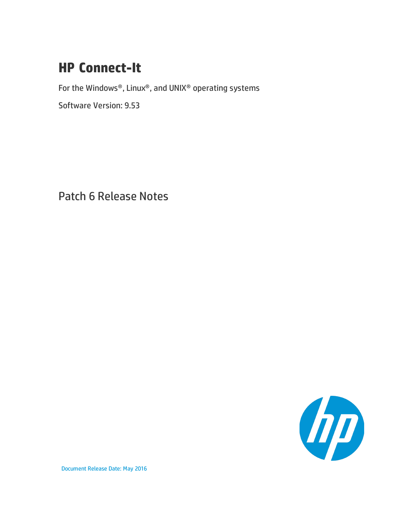## **HP Connect-It**

For the Windows®, Linux®, and UNIX® operating systems

Software Version: 9.53

Patch 6 Release Notes



Document Release Date: May 2016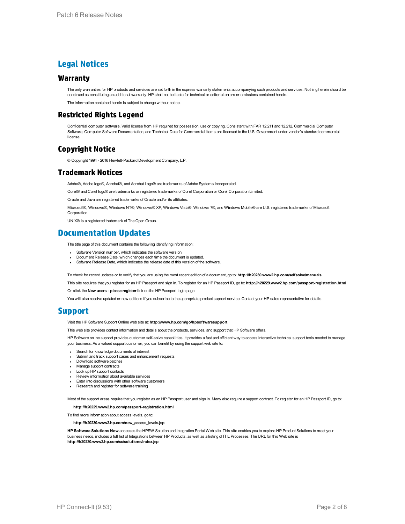### **Legal Notices**

#### **Warranty**

The only warranties for HP products and services are set forth in the express warranty statements accompanying such products and services. Nothing herein should be construed as constituting an additional warranty. HP shall not be liable for technical or editorial errors or omissions contained herein.

The information contained herein is subject to change without notice.

### **Restricted Rights Legend**

Confidential computer software. Valid license from HP required for possession, use or copying. Consistent with FAR 12.211 and 12.212, Commercial Computer Software, Computer Software Documentation, and Technical Data for Commercial Items are licensed to the U.S. Government under vendor's standard commercial license.

### **Copyright Notice**

© Copyright 1994 - 2016 Hewlett-Packard Development Company, L.P.

### **Trademark Notices**

Adobe®, Adobe logo®, Acrobat®, and Acrobat Logo® are trademarks of Adobe Systems Incorporated.

Corel® and Corel logo® are trademarks or registered trademarks of Corel Corporation or Corel Corporation Limited.

Oracle and Java are registered trademarks of Oracle and/or its affiliates.

Microsoft®, Windows®, Windows NT®, Windows® XP, Windows Vista®, Windows 7®, and Windows Mobile® are U.S. registered trademarks of Microsoft Corporation.

UNIX® is a registered trademark of The Open Group.

### **Documentation Updates**

The title page of this document contains the following identifying information:

- Software Version number, which indicates the software version.
- Document Release Date, which changes each time the document is updated.
- Software Release Date, which indicates the release date of this version of the software.

To check for recent updates or to verify that you are using the most recent edition of a document, go to: **http://h20230.www2.hp.com/selfsolve/manuals**

This site requires that you register for an HP Passport and sign in. To register for an HP Passport ID, go to: **http://h20229.www2.hp.com/passport-registration.html**

Or click the **New users - please register** link on the HP Passport login page.

You will also receive updated or new editions if you subscribe to the appropriate product support service. Contact your HP sales representative for details.

### **Support**

Visit the HP Software Support Online web site at: **http://www.hp.com/go/hpsoftwaresupport**

This web site provides contact information and details about the products, services, and support that HP Software offers.

HP Software online support provides customer self-solve capabilities. It provides a fast and efficient way to access interactive technical support tools needed to manage your business. As a valued support customer, you can benefit by using the support web site to:

- **Search for knowledge documents of interest**
- Submit and track support cases and enhancement requests
- Download software patches
- Manage support contracts
- Look up HP support contacts
- Review information about available services Enter into discussions with other software customers
- Research and register for software training
- 

Most of the support areas require that you register as an HP Passport user and sign in. Many also require a support contract. To register for an HP Passport ID, go to:

**http://h20229.www2.hp.com/passport-registration.html**

To find more information about access levels, go to:

#### **http://h20230.www2.hp.com/new\_access\_levels.jsp**

**HP Software Solutions Now** accesses the HPSW Solution and Integration Portal Web site. This site enables you to explore HP Product Solutions to meet your business needs, includes a full list of Integrations between HP Products, as well as a listing of ITIL Processes. The URL for this Web site is **http://h20230.www2.hp.com/sc/solutions/index.jsp**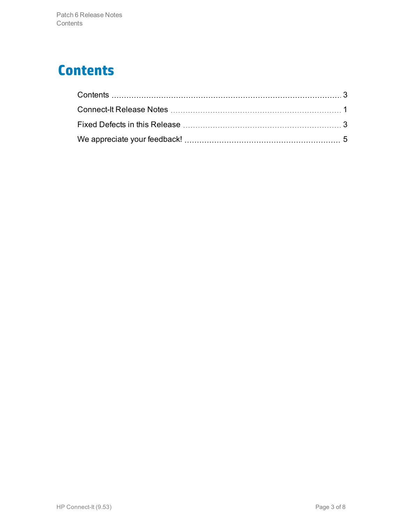## <span id="page-2-0"></span>**Contents**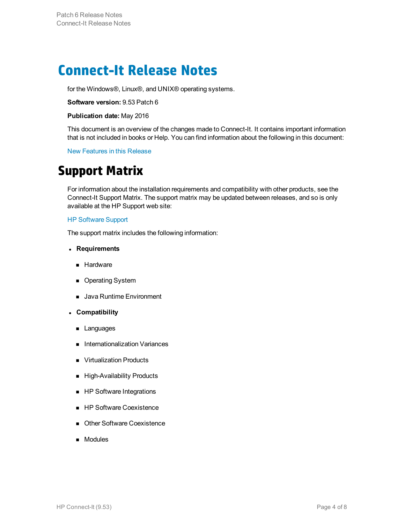## <span id="page-3-0"></span>**Connect-It Release Notes**

for the Windows®, Linux®, and UNIX® operating systems.

### **Software version:** 9.53 Patch 6

#### **Publication date:** May 2016

This document is an overview of the changes made to Connect-It. It contains important information that is not included in books or Help. You can find information about the following in this document:

New Features in this Release

## **Support Matrix**

For information about the installation requirements and compatibility with other products, see the Connect-It Support Matrix. The support matrix may be updated between releases, and so is only available at the HP Support web site:

#### [HP Software Support](https://softwaresupport.hpe.com/)

The support matrix includes the following information:

#### <sup>l</sup> **Requirements**

- **Hardware**
- **n** Operating System
- Java Runtime Environment
- <sup>l</sup> **Compatibility**
	- **n** Languages
	- Internationalization Variances
	- **No Virtualization Products**
	- High-Availability Products
	- **n** HP Software Integrations
	- HP Software Coexistence
	- Other Software Coexistence
	- **n** Modules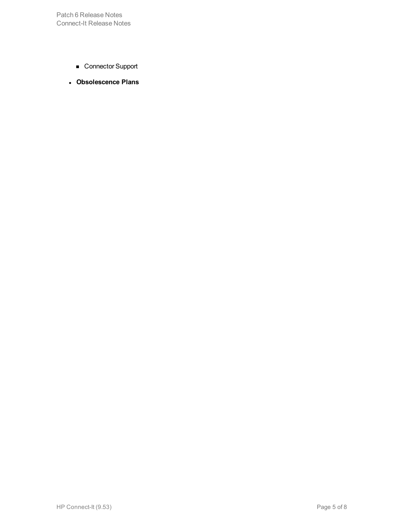Patch 6 Release Notes Connect-It Release Notes

- Connector Support
- <sup>l</sup> **Obsolescence Plans**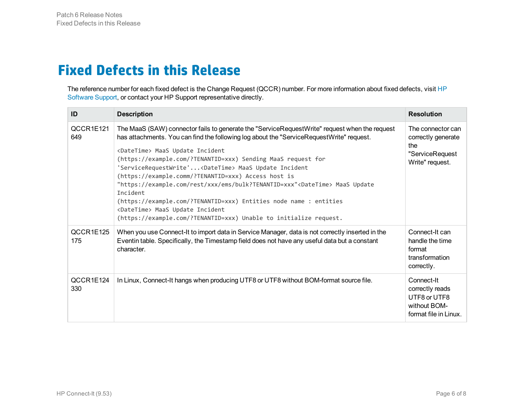## <span id="page-5-0"></span>**Fixed Defects in this Release**

The reference number for each fixed defect is the Change Request (QCCR) number. For more information about fixed defects, visit [HP](https://softwaresupport.hp.com/) [Software Support](https://softwaresupport.hp.com/), or contact your HP Support representative directly.

| ID               | <b>Description</b>                                                                                                                                                                                                                                                                                                                                                                                                                                                                                                                                                                                                                                                                                                                     | <b>Resolution</b>                                                                      |
|------------------|----------------------------------------------------------------------------------------------------------------------------------------------------------------------------------------------------------------------------------------------------------------------------------------------------------------------------------------------------------------------------------------------------------------------------------------------------------------------------------------------------------------------------------------------------------------------------------------------------------------------------------------------------------------------------------------------------------------------------------------|----------------------------------------------------------------------------------------|
| QCCR1E121<br>649 | The MaaS (SAW) connector fails to generate the "ServiceRequestWrite" request when the request<br>has attachments. You can find the following log about the "ServiceRequestWrite" request.<br><datetime> MaaS Update Incident<br/>(https://example.com/?TENANTID=xxx) Sending MaaS request for<br/>'ServiceRequestWrite'<datetime> MaaS Update Incident<br/>(https://example.comm/?TENANTID=xxx) Access host is<br/>"https://example.com/rest/xxx/ems/bulk?TENANTID=xxx"<datetime> MaaS Update<br/>Incident<br/>(https://example.com/?TENANTID=xxx) Entities node name : entities<br/><datetime> MaaS Update Incident<br/>(https://example.com/?TENANTID=xxx) Unable to initialize request.</datetime></datetime></datetime></datetime> | The connector can<br>correctly generate<br>the<br>"ServiceRequest<br>Write" request.   |
| QCCR1E125<br>175 | When you use Connect-It to import data in Service Manager, data is not correctly inserted in the<br>Eventin table. Specifically, the Timestamp field does not have any useful data but a constant<br>character.                                                                                                                                                                                                                                                                                                                                                                                                                                                                                                                        | Connect-It can<br>handle the time<br>format<br>transformation<br>correctly.            |
| QCCR1E124<br>330 | In Linux, Connect-It hangs when producing UTF8 or UTF8 without BOM-format source file.                                                                                                                                                                                                                                                                                                                                                                                                                                                                                                                                                                                                                                                 | Connect-It<br>correctly reads<br>UTF8 or UTF8<br>without BOM-<br>format file in Linux. |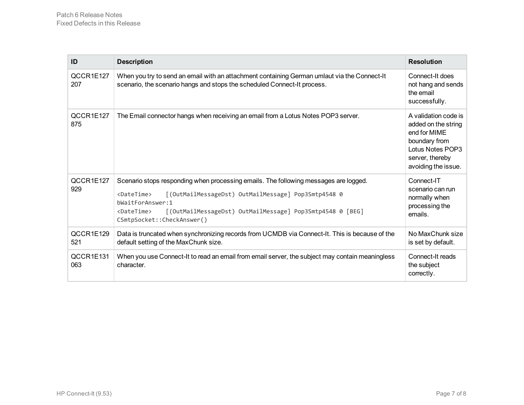| ID               | <b>Description</b>                                                                                                                                                                                                                                                                                                | <b>Resolution</b>                                                                                                                          |
|------------------|-------------------------------------------------------------------------------------------------------------------------------------------------------------------------------------------------------------------------------------------------------------------------------------------------------------------|--------------------------------------------------------------------------------------------------------------------------------------------|
| QCCR1E127<br>207 | When you try to send an email with an attachment containing German umlaut via the Connect-It<br>scenario, the scenario hangs and stops the scheduled Connect-It process.                                                                                                                                          | Connect-It does<br>not hang and sends<br>the email<br>successfully.                                                                        |
| QCCR1E127<br>875 | The Email connector hangs when receiving an email from a Lotus Notes POP3 server.                                                                                                                                                                                                                                 | A validation code is<br>added on the string<br>end for MIME<br>boundary from<br>Lotus Notes POP3<br>server, thereby<br>avoiding the issue. |
| QCCR1E127<br>929 | Scenario stops responding when processing emails. The following messages are logged.<br><datetime><br/>[(OutMailMessageDst) OutMailMessage] Pop3Smtp4548 0<br/>bWaitForAnswer:1<br/>[(OutMailMessageDst) OutMailMessage] Pop3Smtp4548 0 [BEG]<br/><datetime><br/>CSmtpSocket::CheckAnswer()</datetime></datetime> | Connect-IT<br>scenario can run<br>normally when<br>processing the<br>emails.                                                               |
| QCCR1E129<br>521 | Data is truncated when synchronizing records from UCMDB via Connect-It. This is because of the<br>default setting of the MaxChunk size.                                                                                                                                                                           | No MaxChunk size<br>is set by default.                                                                                                     |
| QCCR1E131<br>063 | When you use Connect-It to read an email from email server, the subject may contain meaningless<br>character.                                                                                                                                                                                                     | Connect-It reads<br>the subject<br>correctly.                                                                                              |